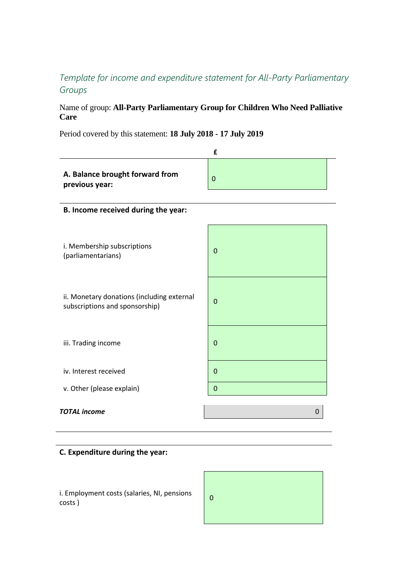## *Template for income and expenditure statement for All-Party Parliamentary Groups*

## Name of group: **All-Party Parliamentary Group for Children Who Need Palliative Care**

Period covered by this statement: **18 July 2018 - 17 July 2019**

|                                                                              | £           |  |
|------------------------------------------------------------------------------|-------------|--|
| A. Balance brought forward from<br>previous year:                            | $\mathbf 0$ |  |
| B. Income received during the year:                                          |             |  |
| i. Membership subscriptions<br>(parliamentarians)                            | $\mathbf 0$ |  |
| ii. Monetary donations (including external<br>subscriptions and sponsorship) | $\mathbf 0$ |  |
| iii. Trading income                                                          | $\mathbf 0$ |  |
| iv. Interest received                                                        | $\mathbf 0$ |  |
| v. Other (please explain)                                                    | 0           |  |
| <b>TOTAL</b> income                                                          | 0           |  |

## **C. Expenditure during the year:**

i. Employment costs (salaries, NI, pensions (100)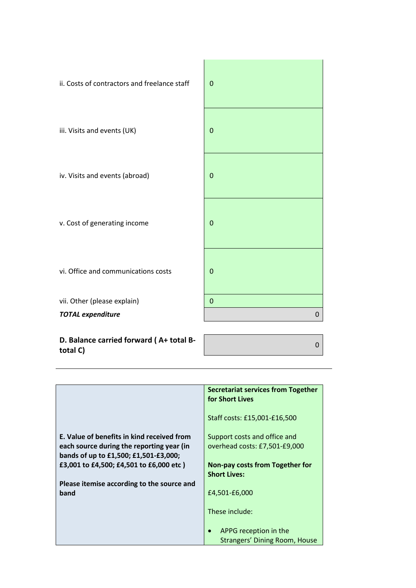

| tutai C                                    |                                           |
|--------------------------------------------|-------------------------------------------|
|                                            |                                           |
|                                            |                                           |
|                                            |                                           |
|                                            | <b>Secretariat services from Together</b> |
|                                            | for Short Lives                           |
|                                            |                                           |
|                                            | Staff costs: £15,001-£16,500              |
|                                            |                                           |
| E. Value of benefits in kind received from | Support costs and office and              |
| each source during the reporting year (in  | overhead costs: £7,501-£9,000             |
| bands of up to £1,500; £1,501-£3,000;      |                                           |
| £3,001 to £4,500; £4,501 to £6,000 etc)    | <b>Non-pay costs from Together for</b>    |
|                                            | <b>Short Lives:</b>                       |
| Please itemise according to the source and |                                           |
| band                                       | £4,501-£6,000                             |
|                                            |                                           |
|                                            | These include:                            |
|                                            |                                           |
|                                            | APPG reception in the<br>$\bullet$        |
|                                            | <b>Strangers' Dining Room, House</b>      |
|                                            |                                           |